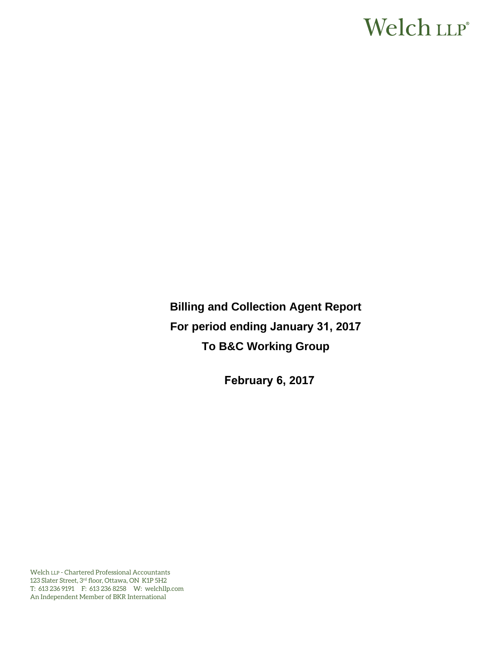# Welch LLP®

**Billing and Collection Agent Report For period ending January 31, 2017 To B&C Working Group** 

**February 6, 2017**

Welch LLP - Chartered Professional Accountants 123 Slater Street, 3rd floor, Ottawa, ON K1P 5H2 T: 613 236 9191 F: 613 236 8258 W: welchllp.com An Independent Member of BKR International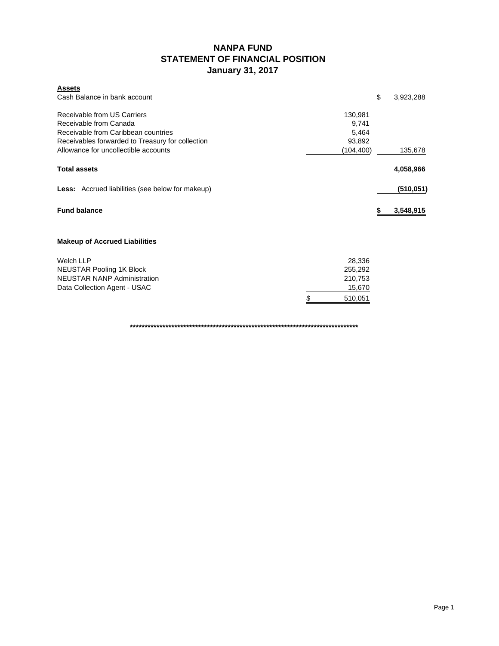### **NANPA FUND STATEMENT OF FINANCIAL POSITION January 31, 2017**

| <b>Assets</b>                                           |               |                 |
|---------------------------------------------------------|---------------|-----------------|
| Cash Balance in bank account                            |               | \$<br>3,923,288 |
| Receivable from US Carriers                             | 130,981       |                 |
| Receivable from Canada                                  | 9,741         |                 |
| Receivable from Caribbean countries                     | 5,464         |                 |
| Receivables forwarded to Treasury for collection        | 93,892        |                 |
| Allowance for uncollectible accounts                    | (104,400)     | 135,678         |
| <b>Total assets</b>                                     |               | 4,058,966       |
| <b>Less:</b> Accrued liabilities (see below for makeup) |               | (510, 051)      |
| <b>Fund balance</b>                                     |               | 3,548,915       |
| <b>Makeup of Accrued Liabilities</b>                    |               |                 |
| <b>Welch LLP</b>                                        | 28,336        |                 |
| <b>NEUSTAR Pooling 1K Block</b>                         | 255,292       |                 |
| <b>NEUSTAR NANP Administration</b>                      | 210,753       |                 |
| Data Collection Agent - USAC                            | 15,670        |                 |
|                                                         | \$<br>510,051 |                 |

**\*\*\*\*\*\*\*\*\*\*\*\*\*\*\*\*\*\*\*\*\*\*\*\*\*\*\*\*\*\*\*\*\*\*\*\*\*\*\*\*\*\*\*\*\*\*\*\*\*\*\*\*\*\*\*\*\*\*\*\*\*\*\*\*\*\*\*\*\*\*\*\*\*\*\*\*\***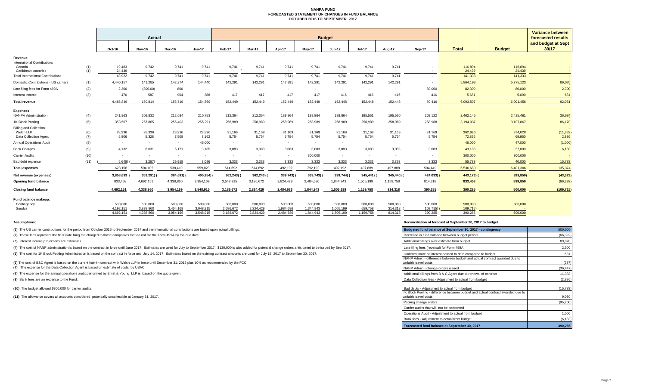#### **NANPA FUND FORECASTED STATEMENT OF CHANGES IN FUND BALANCE OCTOBER 2016 TO SEPTEMBER 2017**

|                                                |      |                      |                      |                      |                      |                      |                      |                      |                      |                      |                                          |                    |                          |                     |               | <b>Variance between</b> |
|------------------------------------------------|------|----------------------|----------------------|----------------------|----------------------|----------------------|----------------------|----------------------|----------------------|----------------------|------------------------------------------|--------------------|--------------------------|---------------------|---------------|-------------------------|
|                                                |      | <b>Actual</b>        |                      |                      |                      |                      |                      | <b>Budget</b>        |                      |                      | forecasted results<br>and budget at Sept |                    |                          |                     |               |                         |
|                                                |      | Oct-16               | Nov-16               | Dec-16               | Jan-17               | <b>Feb-17</b>        | Mar-17               | Apr-17               | May-17               | Jun-17               | <b>Jul-17</b>                            | Aug-17             | <b>Sep-17</b>            | <b>Total</b>        | <b>Budget</b> | 30/17                   |
| Revenue                                        |      |                      |                      |                      |                      |                      |                      |                      |                      |                      |                                          |                    |                          |                     |               |                         |
| <b>International Contributions</b><br>Canada   | (1)  | 19,483               | 9,742                | 9,741                | 9,741                | 9,741                | 9,741                | 9,741                | 9,741                | 9,741                | 9,741                                    | 9.741              |                          | 116,894             | 116,894       |                         |
| Caribbean countries                            | (1)  | 24,439               | $\sim$               |                      |                      |                      |                      |                      | $\sim$               | $\sim$               |                                          |                    |                          | 24,439              | 24,439        |                         |
| <b>Total International Contributions</b>       |      | 43,922               | 9,742                | 9,741                | 9.741                | 9,741                | 9,741                | 9,741                | 9,741                | 9,741                | 9.741                                    | 9.741              | $\overline{\phantom{a}}$ | 141,333             | 141,333       |                         |
| Domestic Contributions - US carriers           | (1)  | 4,440,157            | 141,285              | 142,274              | 144,440              | 142,291              | 142,291              | 142,291              | 142,291              | 142,291              | 142,291                                  | 142,291            | $\overline{\phantom{a}}$ | 5,864,193           | 5,775,123     | 89,070                  |
| Late filing fees for Form 499A                 | (2)  | 2,300                | (800.00)             | 800                  | $\sim$               | $\sim$               | $\sim$               | $\sim$               | $\sim$               | $\sim$               | $\sim$                                   |                    | 80,000                   | 82,300              | 80,000        | 2,300                   |
| Interest income                                | (3)  | 470                  | 587                  | 904                  | 388                  | 417                  | 417                  | 417                  | 417                  | 416                  | 416                                      | 416                | 416                      | 5,681               | 5,000         | 681                     |
| <b>Total revenue</b>                           |      | 4,486,849            | 150,814              | 153,719              | 154,569              | 152.449              | 152,449              | 152,449              | 152,449              | 152,448              | 152,448                                  | 152.448            | 80.416                   | 6,093,507           | 6,001,456     | 92,051                  |
|                                                |      |                      |                      |                      |                      |                      |                      |                      |                      |                      |                                          |                    |                          |                     |               |                         |
| <b>Expenses</b><br><b>NANPA Administration</b> | (4)  | 241,963              | 209,832              | 212,034              | 210,753              | 212,364              | 212,364              | 189,864              | 189,864              | 189,864              | 195,561                                  | 195,560            | 202,122                  | 2,462,145           | 2,425,461     | 36,684                  |
| 1K Block Pooling                               | (5)  | 353,567              | 257,865              | 255,403              | 255,291              | 258,989              | 258,989              | 258,989              | 258,989              | 258,989              | 258,989                                  | 258,989            | 258,988                  | 3,194,037           | 3,107,867     | 86,170                  |
| <b>Billing and Collection</b>                  |      |                      |                      |                      |                      |                      |                      |                      |                      |                      |                                          |                    |                          |                     |               |                         |
| Welch LLP                                      | (6)  | 28,336               | 28,336               | 28,336               | 28,336               | 31,169               | 31,169               | 31,169               | 31,169               | 31,169               | 31,169                                   | 31,169             | 31,169                   | 362,696             | 374,028       | (11, 332)               |
| Data Collection Agent                          | (7)  | 5,806                | 5,328                | 7.508                | 8,162                | 5,754                | 5,754                | 5,754                | 5,754                | 5,754                | 5,754                                    | 5,754              | 5,754                    | 72,836              | 69,950        | 2,886                   |
| <b>Annual Operations Audit</b>                 | (8)  | $\sim$               | $\sim$               | $\sim$               | 46,000               | $\sim$               |                      | ٠                    | $\sim$               |                      | ۰.                                       |                    |                          | 46,000              | 47,000        | (1,000)                 |
| <b>Bank Charges</b>                            | (9)  | 4,132                | 6,031                | 5,171                | 3,185                | 3,083                | 3,083                | 3,083                | 3,083                | 3,083                | 3,083                                    | 3,083              | 3,083                    | 43,183              | 37,000        | 6,183                   |
| Carrier Audits                                 | (10) | $\sim$               | $\sim$               | н.                   | <b>CONTRACTOR</b>    | $\sim$               | $\sim$               | . н.                 | 300,000              | . .                  | $\sim$                                   | . .                |                          | 300,000             | 300,000       |                         |
| Bad debt expense                               | (11) | 5.648                | 3,287                | 29,958               | 8,096                | 3,333                | 3,333                | 3,333                | 3,333                | 3,333                | 3,333                                    | 3,333              | 3,333                    | 55,783              | 40,000        | 15,783                  |
| <b>Total expenses</b>                          |      | 628,156              | 504,105              | 538,410              | 559,823              | 514,692              | 514,692              | 492,192              | 792,192              | 492,192              | 497,889                                  | 497,888            | 504,449                  | 6,536,680           | 6,401,306     | 135,374                 |
| Net revenue (expenses)                         |      | 3,858,693            | 353,291)             | 384,691)             | 405,254)             | 362,243)             | 362,243)             | 339,743) (           | 639,743)             | 339,744)             | 345,441) (                               | 345,440) (         | 424,033)                 | 443,173) (          | 399,850)      | (43, 323)               |
| Opening fund balance                           |      | 833.458              | 4,692,151            | 4,338,860            | 3,954,169            | 3,548,915            | 3,186,672            | 2,824,429            | 2,484,686            | 1,844,943            | 1,505,199                                | 1,159,758          | 814,318                  | 833,458             | 899,850       | (66, 392)               |
| <b>Closing fund balance</b>                    |      | 4,692,151            | 4,338,860            | 3,954,169            | 3,548,915            | 3,186,672            | 2,824,429            | 2,484,686            | 1,844,943            | 1,505,199            | 1,159,758                                | 814,318            | 390,285                  | 390,285             | 500,000       | (109, 715)              |
|                                                |      |                      |                      |                      |                      |                      |                      |                      |                      |                      |                                          |                    |                          |                     |               |                         |
| Fund balance makeup:                           |      |                      |                      |                      |                      |                      |                      |                      |                      |                      |                                          |                    |                          |                     |               |                         |
| Contingency<br>Surplus                         |      | 500,000<br>4,192,151 | 500,000<br>3,838,860 | 500,000<br>3,454,169 | 500,000<br>3,048,915 | 500,000<br>2,686,672 | 500,000<br>2,324,429 | 500,000<br>1,984,686 | 500,000<br>1,344,943 | 500,000<br>1,005,199 | 500,000<br>659,758                       | 500,000<br>314,318 | 500,000<br>109,715       | 500,000<br>109,715) | 500,000       |                         |
|                                                |      | 4,692,151            | 4,338,860            | 3,954,169            | 3,548,915            | 3,186,672            | 2,824,429            | 2,484,686            | 1,844,943            | 1,505,199            | 1,159,758                                | 814,318            | 390,285                  | 390,285             | 500,000       |                         |
|                                                |      |                      |                      |                      |                      |                      |                      |                      |                      |                      |                                          |                    |                          |                     |               |                         |

**(1)** The US carrier contributions for the period from October 2016 to September 2017 and the International contributions are based upon actual billings.

(2) These fees represent the \$100 late filing fee charged to those companies that do not file the Form 499A by the due date.

**(3)** Interest income projections are estimates

(4) The cost of NANP administration is based on the contract in force until June 2017. Estimates are used for July to September 2017. \$130,000 is also added for potential change orders anticipated to be issued by Sep 2017.

(5) The cost for 1K Block Pooling Administration is based on the contract in force until July 14, 2017. Estimates based on the existing contract amounts are used for July 15, 2017 to September 30, 2017.

(6) The cost of B&C Agent is based on the current interim contract with Welch LLP in force until December 31, 2016 plus 10% as recommended by the FCC.

(7) The expense for the Data Collection Agent is based on estimate of costs by USAC.

**(8)** The expense for the annual operations audit performed by Ernst & Young LLP is based on the quote given.

**(9)** Bank fees are an expense to the Fund.

**(10)** The budget allowed \$300,000 for carrier audits.

**(11)** The allowance covers all accounts considered potentially uncollectible at January 31, 2017.

#### **Assumptions: Reconciliation of forecast at September 30, 2017 to budget**

| Budgeted fund balance at September 30, 2017 - contingency                                                                                                | 500,000            |
|----------------------------------------------------------------------------------------------------------------------------------------------------------|--------------------|
| Decrease in fund balance between budget period                                                                                                           | (66, 392)          |
| Additional billings over estimate from budget                                                                                                            | 89,070             |
| Late filing fees (reversal) for Form 499A                                                                                                                | 2,300              |
| Underestimate of interest earned to date compared to budget                                                                                              | 681                |
| NANP Admin - difference between budget and actual contract awarded due to<br>variable travel costs                                                       | (237)              |
| NANP Admin - change orders issued                                                                                                                        | (36, 447)          |
| Additional billings from B & C Agent due to renewal of contract                                                                                          | 11,332             |
| Data Collection fees - Adjustment to actual from budget                                                                                                  | (2,886)            |
| Bad debts - Adjustment to actual from budget<br>IK Block Pooling - difference between budget and actual contract awarded due to<br>variable travel costs | (15, 783)<br>9,030 |
| Pooling change orders                                                                                                                                    | (95, 200)          |
| Carrier audits that will not be performed                                                                                                                |                    |
| Operations Audit - Adjustment to actual from budget                                                                                                      | 1,000              |
| Bank fees - Adjustment to actual from budget                                                                                                             | (6, 183)           |
| Forecasted fund balance at September 30, 2017                                                                                                            | 390,285            |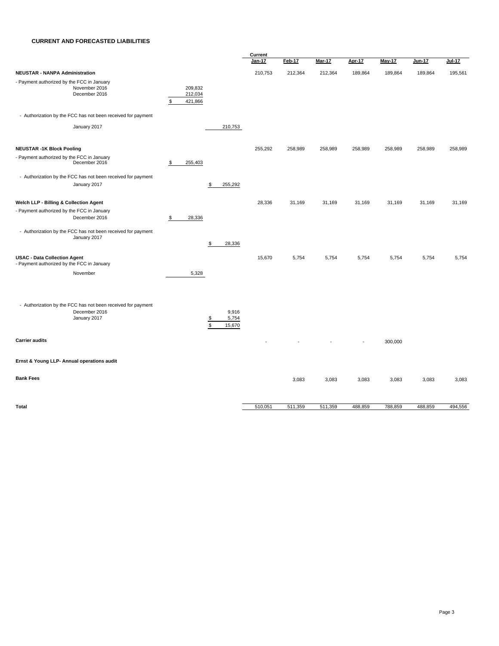#### **CURRENT AND FORECASTED LIABILITIES**

|                                                                                               |                                     |                                                 | Current       |         |               |         |               |               |               |  |
|-----------------------------------------------------------------------------------------------|-------------------------------------|-------------------------------------------------|---------------|---------|---------------|---------|---------------|---------------|---------------|--|
|                                                                                               |                                     |                                                 | <b>Jan-17</b> | Feb-17  | <b>Mar-17</b> | Apr-17  | <b>May-17</b> | <b>Jun-17</b> | <b>Jul-17</b> |  |
| <b>NEUSTAR - NANPA Administration</b>                                                         |                                     |                                                 | 210,753       | 212,364 | 212,364       | 189,864 | 189,864       | 189,864       | 195,561       |  |
| - Payment authorized by the FCC in January<br>November 2016<br>December 2016                  | 209,832<br>212,034<br>\$<br>421,866 |                                                 |               |         |               |         |               |               |               |  |
| - Authorization by the FCC has not been received for payment                                  |                                     |                                                 |               |         |               |         |               |               |               |  |
| January 2017                                                                                  |                                     | 210,753                                         |               |         |               |         |               |               |               |  |
| <b>NEUSTAR -1K Block Pooling</b>                                                              |                                     |                                                 | 255,292       | 258,989 | 258,989       | 258,989 | 258,989       | 258,989       | 258,989       |  |
| - Payment authorized by the FCC in January<br>December 2016                                   | 255,403<br>\$                       |                                                 |               |         |               |         |               |               |               |  |
| - Authorization by the FCC has not been received for payment<br>January 2017                  |                                     | \$<br>255,292                                   |               |         |               |         |               |               |               |  |
| Welch LLP - Billing & Collection Agent                                                        |                                     |                                                 | 28,336        | 31,169  | 31,169        | 31,169  | 31,169        | 31,169        | 31,169        |  |
|                                                                                               |                                     |                                                 |               |         |               |         |               |               |               |  |
| - Payment authorized by the FCC in January<br>December 2016                                   | 28,336<br>$\frac{1}{2}$             |                                                 |               |         |               |         |               |               |               |  |
| - Authorization by the FCC has not been received for payment<br>January 2017                  |                                     | 28,336<br>\$                                    |               |         |               |         |               |               |               |  |
| <b>USAC - Data Collection Agent</b><br>- Payment authorized by the FCC in January             |                                     |                                                 | 15,670        | 5,754   | 5,754         | 5,754   | 5,754         | 5,754         | 5,754         |  |
| November                                                                                      | 5,328                               |                                                 |               |         |               |         |               |               |               |  |
| - Authorization by the FCC has not been received for payment<br>December 2016<br>January 2017 |                                     | 9,916<br>5,754<br>$\frac{3}{2}$<br>\$<br>15,670 |               |         |               |         |               |               |               |  |
| <b>Carrier audits</b>                                                                         |                                     |                                                 |               |         |               |         | 300,000       |               |               |  |
| Ernst & Young LLP- Annual operations audit                                                    |                                     |                                                 |               |         |               |         |               |               |               |  |
| <b>Bank Fees</b>                                                                              |                                     |                                                 |               | 3,083   | 3,083         | 3,083   | 3,083         | 3,083         | 3,083         |  |
|                                                                                               |                                     |                                                 |               |         |               |         |               |               |               |  |
| Total                                                                                         |                                     |                                                 | 510,051       | 511,359 | 511,359       | 488,859 | 788,859       | 488,859       | 494,556       |  |